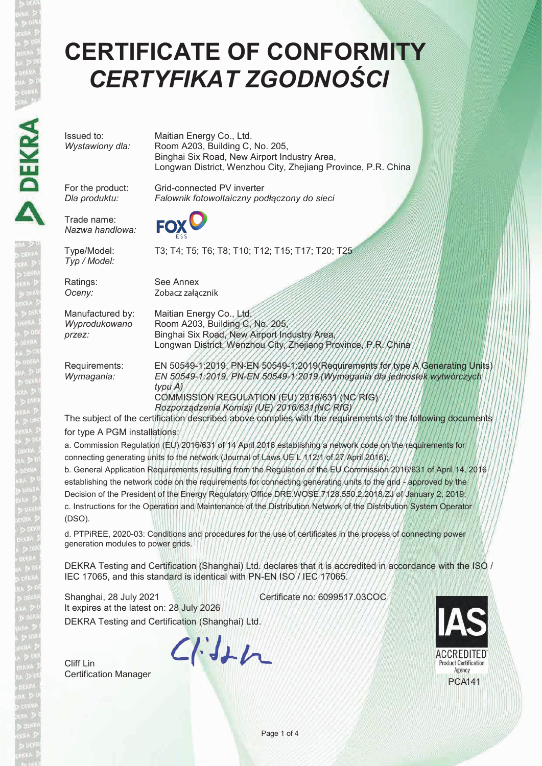## **CERTIFICATE OF CONFORMITY** *CERTYFIKAT ZGODNOŚCI*

Issued to: Maitian Energy Co., Ltd.<br>
Wystawiony dla: Room A203, Building C, *Wystawiony dla:* Room A203, Building C, No. 205, Binghai Six Road, New Airport Industry Area, Longwan District, Wenzhou City, Zhejiang Province, P.R. China

For the product: Grid-connected PV inverter *Dla produktu: Falownik fotowoltaiczny podłączony do sieci*

Type/Model: T3; T4; T5; T6; T8; T10; T12; T15; T17; T20; T25 *Typ / Model:*

Trade name: *Nazwa handlowa:*

Ratings: See Annex

*Oceny:* Zobacz załącznik

Manufactured by: Maitian Energy Co., Ltd. *Wyprodukowano* Room A203, Building C, No. 205, przez:

Binghai Six Road, New Airport Industry Area, Longwan District, Wenzhou City, Zhejiang Province, P.R. China Requirements: EN 50549-1:2019, PN-EN 50549-1:2019(Requirements for type A Generating Units)

*Wymagania: EN 50549-1:2019*, *PN-EN 50549-1:2019 (Wymagania dla jednostek wytwórczych typu A)* COMMISSION REGULATION (EU) 2016/631 (NC RfG) *Rozporządzenia Komisji (UE) 2016/631(NC RfG)*

The subject of the certification described above complies with the requirements of the following documents for type A PGM installations:

a. Commission Regulation (EU) 2016/631 of 14 April 2016 establishing a network code on the requirements for connecting generating units to the network (Journal of Laws UE L 112/1 of 27 April 2016);

b. General Application Requirements resulting from the Regulation of the EU Commission 2016/631 of April 14, 2016 establishing the network code on the requirements for connecting generating units to the grid - approved by the Decision of the President of the Energy Regulatory Office DRE.WOSE.7128.550.2.2018.ZJ of January 2, 2019; c. Instructions for the Operation and Maintenance of the Distribution Network of the Distribution System Operator (DSO).

d. PTPiREE, 2020-03: Conditions and procedures for the use of certificates in the process of connecting power generation modules to power grids.

DEKRA Testing and Certification (Shanghai) Ltd. declares that it is accredited in accordance with the ISO / IEC 17065, and this standard is identical with PN-EN ISO / IEC 17065.

DEKRA Testing and Certification (Shanghai) Ltd. Shanghai, 28 July 2021 **Certificate no: 6099517.03COC** It expires at the latest on: 28 July 2026

Cliff Lin Certification Manager

 $C/HH$ 

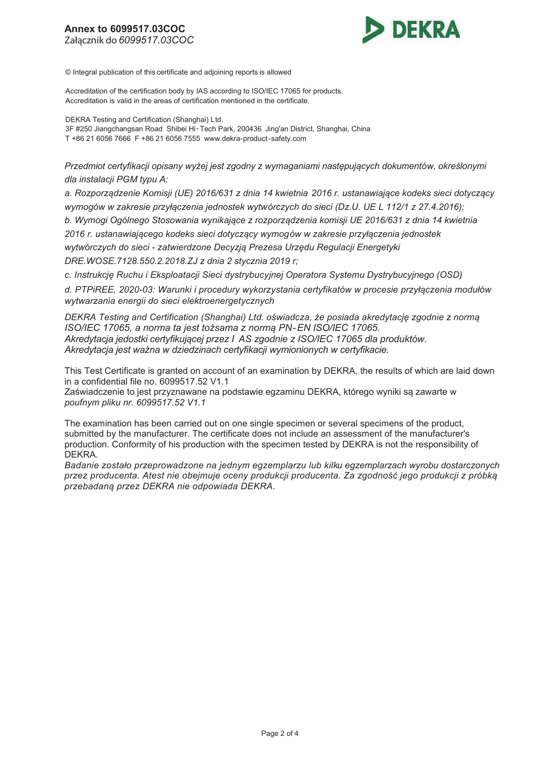

© Integral publication of this certificate and adjoining reports is allowed

Accreditation of the certification body by IAS according to ISO/IEC 17065 for products. Accreditation is valid in the areas of certification mentioned in the certificate.

DEKRA Testing and Certification (Shanghai) Ltd. 3F #250 Jiangchangsan Road Shibei Hi-Tech Park, 200436 Jing'an District, Shanghai, China T +86 21 6056 7666 F +86 21 6056 7555 www.dekra-product-safety.com

*Przedmiot certyfikacji opisany wyżej jest zgodny z wymaganiami następujących dokumentów, określonymi dla instalacji PGM typu A:* 

*a. Rozporządzenie Komisji (UE) 2016/631 z dnia 14 kwietnia 2016 r. ustanawiające kodeks sieci dotyczący wymogów w zakresie przyłączenia jednostek wytwórczych do sieci (Dz.U. UE L 112/1 z 27.4.2016);* 

*b. Wymogi Ogólnego Stosowania wynikające z rozporządzenia komisji UE 2016/631 z dnia 14 kwietnia* 

*2016 r. ustanawiającego kodeks sieci dotyczący wymogów w zakresie przyłączenia jednostek* 

*wytwórczych do sieci - zatwierdzone Decyzją Prezesa Urzędu Regulacji Energetyki* 

*DRE.WOSE.7128.550.2.2018.ZJ z dnia 2 stycznia 2019 r;* 

*c. Instrukcję Ruchu i Eksploatacji Sieci dystrybucyjnej Operatora Systemu Dystrybucyjnego (OSD).* 

*d. PTPiREE, 2020-03: Warunki i procedury wykorzystania certyfikatów w procesie przyłączenia modułów wytwarzania energii do sieci elektroenergetycznych*

*DEKRA Testing and Certification (Shanghai) Ltd. oświadcza, że posiada akredytację zgodnie z normą ISO/IEC 17065, a norma ta jest tożsama z normą PN-EN ISO/IEC 17065. Akredytacja jedostki certyfikującej przez I AS zgodnie z ISO/IEC 17065 dla produktów. Akredytacja jest ważna w dziedzinach certyfikacji wymionionych w certyfikacie.*

This Test Certificate is granted on account of an examination by DEKRA, the results of which are laid down in a confidential file no. 6099517.52 V1.1

Zaświadczenie to jest przyznawane na podstawie egzaminu DEKRA, którego wyniki są zawarte w *poufnym pliku nr. 6099517.52 V1.1*

The examination has been carried out on one single specimen or several specimens of the product, submitted by the manufacturer. The certificate does not include an assessment of the manufacturer's production. Conformity of his production with the specimen tested by DEKRA is not the responsibility of DEKRA.

*Badanie zostało przeprowadzone na jednym egzemplarzu lub kilku egzemplarzach wyrobu dostarczonych przez producenta. Atest nie obejmuje oceny produkcji producenta. Za zgodność jego produkcji z próbką przebadaną przez DEKRA nie odpowiada DEKRA.*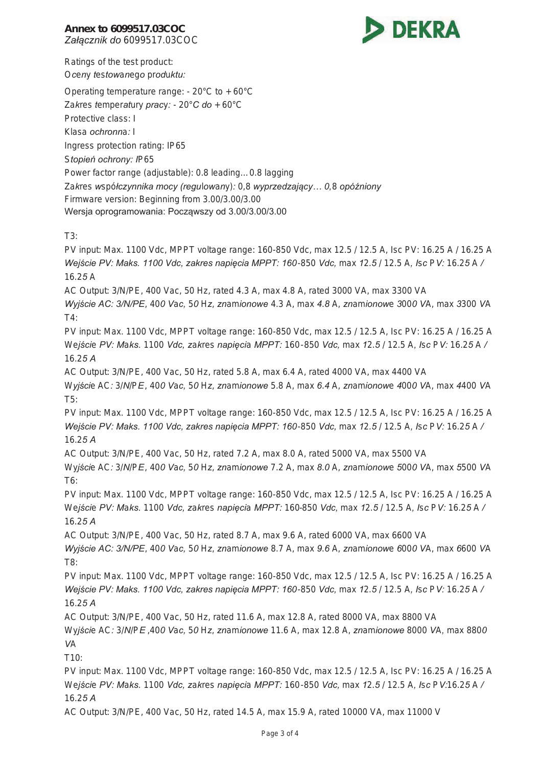## **Annex to 6099517.03COC**  *Załącznik do 6099517.03COC*



Ratings of the test product: *Oceny testowanego produktu:* 

Operating temperature range: - 20°C to + 60°C *Zakres temperatury pracy: - 20°C do + 60°C* Protective class: I *Klasa ochronna: I* Ingress protection rating: IP65 *Stopień ochrony: IP65* Power factor range (adjustable): 0.8 leading…0.8 lagging *Zakres współczynnika mocy (regulowany): 0,8 wyprzedzający… 0,8 opóźniony*  Firmware version: Beginning from 3.00/3.00/3.00 Wersja oprogramowania: Począwszy od 3.00/3.00/3.00

T3:

PV input: Max. 1100 Vdc, MPPT voltage range: 160-850 Vdc, max 12.5 / 12.5 A, Isc PV: 16.25 A / 16.25 A Wejście PV: Maks. 1100 Vdc, zakres napięcia MPPT: 160-850 Vdc, max 12.5 / 12.5 A, Isc PV: 16.25 A / *16.25 A* AC Output: 3/N/PE, 400 Vac, 50 Hz, rated 4.3 A, max 4.8 A, rated 3000 VA, max 3300 VA Wyjście AC: 3/N/PE, 400 Vac, 50 Hz, znamionowe 4.3 A, max 4.8 A, znamionowe 3000 VA, max 3300 VA T4: PV input: Max. 1100 Vdc, MPPT voltage range: 160-850 Vdc, max 12.5 / 12.5 A, Isc PV: 16.25 A / 16.25 A Wejście PV: Maks. 1100 Vdc, zakres napiecia MPPT: 160-850 Vdc, max 12.5 / 12.5 A, Isc PV: 16.25 A / *16.25 A* AC Output: 3/N/PE, 400 Vac, 50 Hz, rated 5.8 A, max 6.4 A, rated 4000 VA, max 4400 VA Wyjście AC: 3/N/PE, 400 Vac, 50 Hz, znamionowe 5.8 A, max 6.4 A, znamionowe 4000 VA, max 4400 VA T5: PV input: Max. 1100 Vdc, MPPT voltage range: 160-850 Vdc, max 12.5 / 12.5 A, Isc PV: 16.25 A / 16.25 A Wejście PV: Maks. 1100 Vdc, zakres napięcia MPPT: 160-850 Vdc, max 12.5 / 12.5 A, Isc PV: 16.25 A / *16.25 A* AC Output: 3/N/PE, 400 Vac, 50 Hz, rated 7.2 A, max 8.0 A, rated 5000 VA, max 5500 VA Wyjście AC: 3/N/PE, 400 Vac, 50 Hz, znamionowe 7.2 A, max 8.0 A, znamionowe 5000 VA, max 5500 VA T6: PV input: Max. 1100 Vdc, MPPT voltage range: 160-850 Vdc, max 12.5 / 12.5 A, Isc PV: 16.25 A / 16.25 A Wejście PV: Maks. 1100 Vdc, zakres napięcia MPPT: 160-850 Vdc, max 12.5 / 12.5 A, Isc PV: 16.25 A / *16.25 A* AC Output: 3/N/PE, 400 Vac, 50 Hz, rated 8.7 A, max 9.6 A, rated 6000 VA, max 6600 VA Wyjście AC: 3/N/PE, 400 Vac, 50 Hz, znamionowe 8.7 A, max 9.6 A, znamionowe 6000 VA, max 6600 VA T8: PV input: Max. 1100 Vdc, MPPT voltage range: 160-850 Vdc, max 12.5 / 12.5 A, Isc PV: 16.25 A / 16.25 A Wejście PV: Maks. 1100 Vdc, zakres napięcia MPPT: 160-850 Vdc, max 12.5 / 12.5 A, Isc PV: 16.25 A / *16.25 A* AC Output: 3/N/PE, 400 Vac, 50 Hz, rated 11.6 A, max 12.8 A, rated 8000 VA, max 8800 VA Wyjście AC: 3/N/PE, 400 Vac, 50 Hz, znamionowe 11.6 A, max 12.8 A, znamionowe 8000 VA, max 8800 *VA*  $T10<sup>°</sup>$ PV input: Max. 1100 Vdc, MPPT voltage range: 160-850 Vdc, max 12.5 / 12.5 A, Isc PV: 16.25 A / 16.25 A Wejście PV: Maks. 1100 Vdc, zakres napięcia MPPT: 160-850 Vdc, max 12.5 / 12.5 A, Isc PV:16.25 A / *16.25 A*

AC Output: 3/N/PE, 400 Vac, 50 Hz, rated 14.5 A, max 15.9 A, rated 10000 VA, max 11000 V